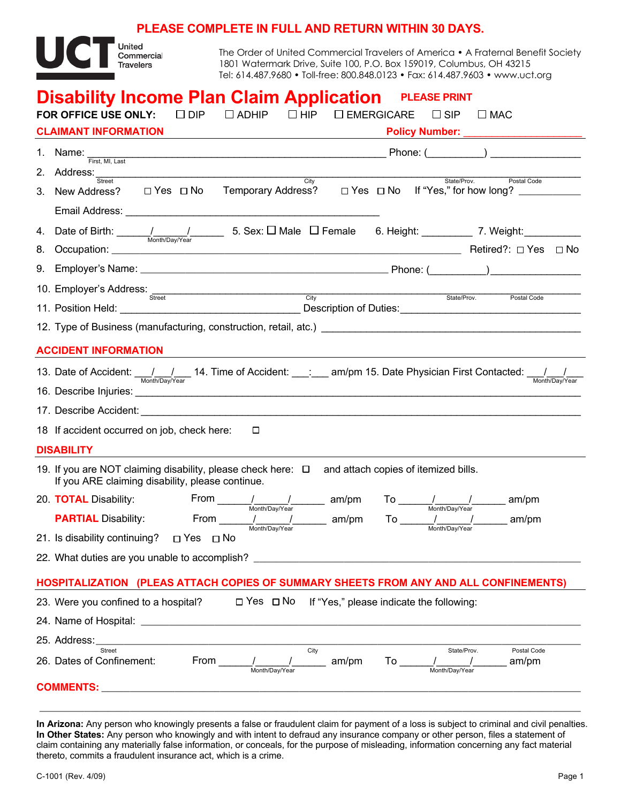## **PLEASE COMPLETE IN FULL AND RETURN WITHIN 30 DAYS.**



The Order of United Commercial Travelers of America • A Fraternal Benefit Society 1801 Watermark Drive, Suite 100, P.O. Box 159019, Columbus, OH 43215 Tel: 614.487.9680 • Toll-free: 800.848.0123 • Fax: 614.487.9603 • www.uct.org

| <b>Disability Income Plan Claim Application</b> PLEASE PRINT                                                         |                                                                                                                                                                      |  |  |  |  |  |  |
|----------------------------------------------------------------------------------------------------------------------|----------------------------------------------------------------------------------------------------------------------------------------------------------------------|--|--|--|--|--|--|
| FOR OFFICE USE ONLY:<br>$\Box$ DIP<br>$\Box$ ADHIP<br>$\Box$ HIP<br>$\Box$ EMERGICARE<br>$\square$ SIP<br>$\Box$ MAC |                                                                                                                                                                      |  |  |  |  |  |  |
| <b>CLAIMANT INFORMATION</b><br>Policy Number: _____________<br><u> 1980 - Jan Samuel Barbara, poeta esta</u>         |                                                                                                                                                                      |  |  |  |  |  |  |
|                                                                                                                      | 1. Name: $\frac{1}{\text{First, MI, Last}}$                                                                                                                          |  |  |  |  |  |  |
|                                                                                                                      | 2. Address: Street City City<br>State/Prov.<br>Postal Code                                                                                                           |  |  |  |  |  |  |
|                                                                                                                      | 3. New Address? □ Yes □ No Temporary Address?<br>□ Yes □ No If "Yes," for how long? __________                                                                       |  |  |  |  |  |  |
|                                                                                                                      |                                                                                                                                                                      |  |  |  |  |  |  |
| 4.                                                                                                                   | Date of Birth: $\frac{1}{\frac{M_{\text{both}}}{N_{\text{both}}N_{\text{Bay}}/N_{\text{ear}}}}$ 5. Sex: $\Box$ Male $\Box$ Female 6. Height: ____________ 7. Weight: |  |  |  |  |  |  |
| 8.                                                                                                                   |                                                                                                                                                                      |  |  |  |  |  |  |
| 9.                                                                                                                   |                                                                                                                                                                      |  |  |  |  |  |  |
|                                                                                                                      | 10. Employer's Address: Street<br><b>City</b><br>State/Prov. Postal Code                                                                                             |  |  |  |  |  |  |
|                                                                                                                      |                                                                                                                                                                      |  |  |  |  |  |  |
|                                                                                                                      | 12. Type of Business (manufacturing, construction, retail, atc.) [2010] [2010] [2010] [2010] [2010] [2010] [20                                                       |  |  |  |  |  |  |
| <b>ACCIDENT INFORMATION</b>                                                                                          |                                                                                                                                                                      |  |  |  |  |  |  |
|                                                                                                                      | 13. Date of Accident: 11. Imp. 14. Time of Accident: ___: ___ am/pm 15. Date Physician First Contacted: 1/1                                                          |  |  |  |  |  |  |
|                                                                                                                      |                                                                                                                                                                      |  |  |  |  |  |  |
|                                                                                                                      | 17. Describe Accident: <b>Accident</b> : <b>Accident Accident Accident <b>Accident Accident </b></b>                                                                 |  |  |  |  |  |  |
|                                                                                                                      | 18 If accident occurred on job, check here:<br>□                                                                                                                     |  |  |  |  |  |  |
| <b>DISABILITY</b>                                                                                                    |                                                                                                                                                                      |  |  |  |  |  |  |
|                                                                                                                      | 19. If you are NOT claiming disability, please check here: $\Box$ and attach copies of itemized bills.<br>If you ARE claiming disability, please continue.           |  |  |  |  |  |  |
|                                                                                                                      | 20. <b>TOTAL</b> Disability: From $\frac{1}{\text{Month/Day/Year}}$ am/pm To $\frac{1}{\text{Month/Day/Year}}$ am/pm                                                 |  |  |  |  |  |  |
|                                                                                                                      | <b>PARTIAL</b> Disability: From $\frac{1}{\text{Month/Day/Year}}$ am/pm To $\frac{1}{\text{Month/Day/Year}}$ am/pm                                                   |  |  |  |  |  |  |
|                                                                                                                      | 21. Is disability continuing? □ Yes □ No                                                                                                                             |  |  |  |  |  |  |
|                                                                                                                      | 22. What duties are you unable to accomplish? __________________________________                                                                                     |  |  |  |  |  |  |
|                                                                                                                      | HOSPITALIZATION (PLEAS ATTACH COPIES OF SUMMARY SHEETS FROM ANY AND ALL CONFINEMENTS)                                                                                |  |  |  |  |  |  |
|                                                                                                                      | $\Box$ Yes $\Box$ No If "Yes," please indicate the following:<br>23. Were you confined to a hospital?                                                                |  |  |  |  |  |  |
|                                                                                                                      |                                                                                                                                                                      |  |  |  |  |  |  |
|                                                                                                                      | 25. Address:                                                                                                                                                         |  |  |  |  |  |  |
|                                                                                                                      | City<br>Street<br>Postal Code<br>State/Prov.<br>From<br>26. Dates of Confinement:<br>To<br>am/pm<br>am/pm                                                            |  |  |  |  |  |  |
|                                                                                                                      |                                                                                                                                                                      |  |  |  |  |  |  |

**In Arizona:** Any person who knowingly presents a false or fraudulent claim for payment of a loss is subject to criminal and civil penalties. **In Other States:** Any person who knowingly and with intent to defraud any insurance company or other person, files a statement of claim containing any materially false information, or conceals, for the purpose of misleading, information concerning any fact material thereto, commits a fraudulent insurance act, which is a crime.

**\_\_\_\_\_\_\_\_\_\_\_\_\_\_\_\_\_\_\_\_\_\_\_\_\_\_\_\_\_\_\_\_\_\_\_\_\_\_\_\_\_\_\_\_\_\_\_\_\_\_\_\_\_\_\_\_\_\_\_\_\_\_\_\_\_\_\_\_\_\_\_\_\_\_\_\_\_\_\_\_\_\_\_\_\_\_\_\_\_\_\_\_\_\_\_\_**